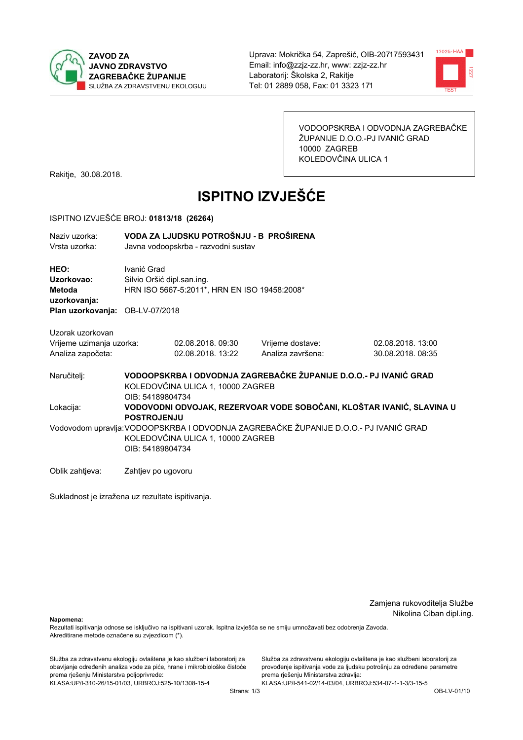

Uprava: Mokrička 54, Zaprešić, OIB-20717593431 Email: info@zzjz-zz.hr, www: zzjz-zz.hr Laboratorij: Školska 2, Rakitje Tel: 01 2889 058. Fax: 01 3323 171



VODOOPSKRBA I ODVODNJA ZAGREBAČKE ŽUPANIJE D.O.O.-PJ IVANIĆ GRAD 10000 ZAGREB KOLEDOVČINA ULICA 1

Rakitje, 30.08.2018.

# **ISPITNO IZVJEŠĆE**

#### ISPITNO IZVJEŠĆE BROJ: 01813/18 (26264)

| Naziy uzorka:<br>Vrsta uzorka:               | VODA ZA LJUDSKU POTROŠNJU - B PROŠIRENA<br>Javna vodoopskrba - razvodni sustav                                                                 |                   |  |                   |                  |  |  |
|----------------------------------------------|------------------------------------------------------------------------------------------------------------------------------------------------|-------------------|--|-------------------|------------------|--|--|
| HEO:<br>Uzorkovao:<br>Metoda<br>uzorkovanja: | Ivanić Grad<br>Silvio Oršić dipl.san.ing.<br>HRN ISO 5667-5:2011*, HRN EN ISO 19458:2008*                                                      |                   |  |                   |                  |  |  |
| Plan uzorkovanja: OB-LV-07/2018              |                                                                                                                                                |                   |  |                   |                  |  |  |
| Uzorak uzorkovan<br>Vrijeme uzimanja uzorka: |                                                                                                                                                | 02.08.2018.09:30  |  | Vrijeme dostave:  | 02.08.2018.13:00 |  |  |
| Analiza započeta:                            |                                                                                                                                                | 02.08.2018. 13:22 |  | Analiza završena: | 30.08.2018.08:35 |  |  |
| Naručitelj:                                  | VODOOPSKRBA I ODVODNJA ZAGREBAČKE ŽUPANIJE D.O.O.- PJ IVANIĆ GRAD<br>KOLEDOVČINA ULICA 1, 10000 ZAGREB<br>OIB: 54189804734                     |                   |  |                   |                  |  |  |
| Lokacija:                                    | VODOVODNI ODVOJAK, REZERVOAR VODE SOBOČANI, KLOŠTAR IVANIĆ, SLAVINA U<br><b>POSTROJENJU</b>                                                    |                   |  |                   |                  |  |  |
|                                              | Vodovodom upravlja: VODOOPSKRBA I ODVODNJA ZAGREBAČKE ŽUPANIJE D.O.O.- PJ IVANIĆ GRAD<br>KOLEDOVČINA ULICA 1, 10000 ZAGREB<br>OIB: 54189804734 |                   |  |                   |                  |  |  |
| Oblik zahtjeva:                              | Zahtjev po ugovoru                                                                                                                             |                   |  |                   |                  |  |  |

Sukladnost je izražena uz rezultate ispitivanja.

Zamjena rukovoditelja Službe Nikolina Ciban dipl.ing.

Napomena:

Rezultati ispitivanja odnose se isključivo na ispitivani uzorak. Ispitna izvješća se ne smiju umnožavati bez odobrenja Zavoda. Akreditirane metode označene su zvjezdicom (\*).

Služba za zdravstvenu ekologiju ovlaštena je kao službeni laboratorij za obavljanje određenih analiza vode za piće, hrane i mikrobiološke čistoće prema rješenju Ministarstva poljoprivrede: KLASA.UP/I-310-26/15-01/03, URBROJ:525-10/1308-15-4

Služba za zdravstvenu ekologiju ovlaštena je kao službeni laboratorij za provođenje ispitivanja vode za ljudsku potrošnju za određene parametre prema rješenju Ministarstva zdravlja:

KLASA:UP/I-541-02/14-03/04, URBROJ:534-07-1-1-3/3-15-5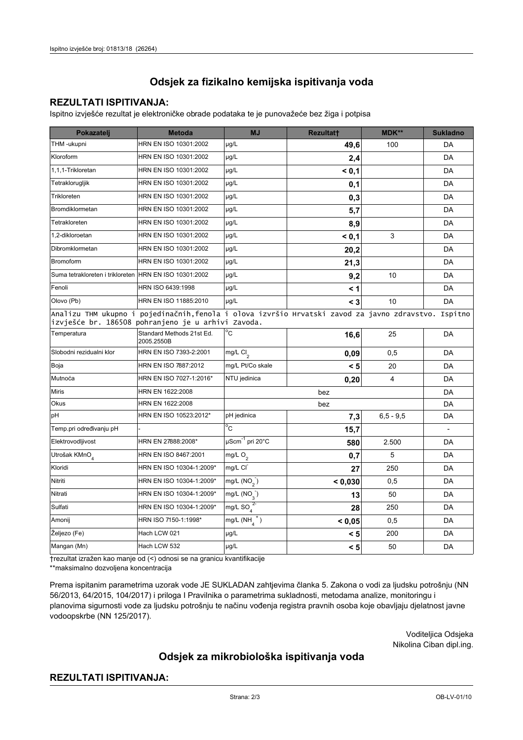# Odsjek za fizikalno kemijska ispitivanja voda

## **REZULTATI ISPITIVANJA:**

Ispitno izvješće rezultat je elektroničke obrade podataka te je punovažeće bez žiga i potpisa

| Pokazatelj                                                                                                                                                 | <b>Metoda</b>                           | MJ                          | <b>Rezultatt</b> | <b>MDK**</b>   | <b>Sukladno</b> |  |  |
|------------------------------------------------------------------------------------------------------------------------------------------------------------|-----------------------------------------|-----------------------------|------------------|----------------|-----------------|--|--|
| THM -ukupni                                                                                                                                                | HRN EN ISO 10301:2002                   | µg/L                        | 49,6             | 100            | DA              |  |  |
| Kloroform                                                                                                                                                  | HRN EN ISO 10301:2002                   | µg/L                        | 2,4              |                | DA              |  |  |
| 1,1,1-Trikloretan                                                                                                                                          | HRN EN ISO 10301:2002                   | µg/L                        | < 0,1            |                | DA              |  |  |
| Tetraklorugljik                                                                                                                                            | HRN EN ISO 10301:2002                   | µg/L                        | 0,1              |                | DA              |  |  |
| Trikloreten                                                                                                                                                | HRN EN ISO 10301:2002                   | µg/L                        | 0,3              |                | DA              |  |  |
| Bromdiklormetan                                                                                                                                            | HRN EN ISO 10301:2002                   | µg/L                        | 5,7              |                | DA              |  |  |
| Tetrakloreten                                                                                                                                              | HRN EN ISO 10301:2002                   | µg/L                        | 8,9              |                | DA              |  |  |
| 1,2-dikloroetan                                                                                                                                            | HRN EN ISO 10301:2002                   | µg/L                        | < 0,1            | 3              | DA              |  |  |
| Dibromklormetan                                                                                                                                            | HRN EN ISO 10301:2002                   | µg/L                        | 20,2             |                | DA              |  |  |
| <b>Bromoform</b>                                                                                                                                           | HRN EN ISO 10301:2002                   | µg/L                        | 21,3             |                | DA              |  |  |
| Suma tetrakloreten i trikloreten HRN EN ISO 10301:2002                                                                                                     |                                         | µg/L                        | 9,2              | 10             | DA              |  |  |
| Fenoli                                                                                                                                                     | HRN ISO 6439:1998                       | µg/L                        | $\leq 1$         |                | DA              |  |  |
| Olovo (Pb)                                                                                                                                                 | HRN EN ISO 11885:2010                   | µg/L                        | $<$ 3            | 10             | DA              |  |  |
| Analizu THM ukupno i pojedinačnih, fenola i olova izvršio Hrvatski zavod za javno zdravstvo. Ispitno<br>izvješće br. 186508 pohranjeno je u arhivi Zavoda. |                                         |                             |                  |                |                 |  |  |
| Temperatura                                                                                                                                                | Standard Methods 21st Ed.<br>2005.2550B | °c                          | 16,6             | 25             | <b>DA</b>       |  |  |
| Slobodni rezidualni klor                                                                                                                                   | HRN EN ISO 7393-2:2001                  | mg/L Cl <sub>2</sub>        | 0,09             | 0,5            | DA              |  |  |
| Boja                                                                                                                                                       | HRN EN ISO 7887:2012                    | mg/L Pt/Co skale            | < 5              | 20             | DA              |  |  |
| Mutnoća                                                                                                                                                    | HRN EN ISO 7027-1:2016*                 | NTU jedinica                | 0,20             | $\overline{4}$ | DA              |  |  |
| <b>Miris</b>                                                                                                                                               | HRN EN 1622:2008                        | bez                         |                  |                | DA              |  |  |
| <b>Okus</b>                                                                                                                                                | HRN EN 1622:2008                        | bez                         |                  |                | DA              |  |  |
| pH                                                                                                                                                         | HRN EN ISO 10523:2012*                  | pH jedinica                 | 7,3              | $6,5 - 9,5$    | DA              |  |  |
| Temp.pri određivanju pH                                                                                                                                    |                                         | °c                          | 15,7             |                |                 |  |  |
| Elektrovodljivost                                                                                                                                          | HRN EN 27888:2008*                      | µScm <sup>-1</sup> pri 20°C | 580              | 2.500          | DA              |  |  |
| Utrošak KMnO                                                                                                                                               | HRN EN ISO 8467:2001                    | mg/L $O_2$                  | 0,7              | 5              | DA              |  |  |
| Kloridi                                                                                                                                                    | HRN EN ISO 10304-1:2009*                | mg/L CI                     | 27               | 250            | DA              |  |  |
| Nitriti                                                                                                                                                    | HRN EN ISO 10304-1:2009*                | mg/L $(NO2)$                | < 0,030          | 0,5            | DA              |  |  |
| Nitrati                                                                                                                                                    | HRN EN ISO 10304-1:2009*                | mg/L $(NO_{3})$             | 13               | 50             | DA              |  |  |
| Sulfati                                                                                                                                                    | HRN EN ISO 10304-1:2009*                | mg/L SO $^{2}$              | 28               | 250            | DA              |  |  |
| Amonij                                                                                                                                                     | HRN ISO 7150-1:1998*                    | mg/L $(NH_4^+)$             | < 0,05           | 0,5            | DA              |  |  |
| Željezo (Fe)                                                                                                                                               | Hach LCW 021                            | µg/L                        | < 5              | 200            | DA              |  |  |
| Mangan (Mn)                                                                                                                                                | Hach LCW 532                            | µg/L                        | < 5              | 50             | DA              |  |  |

trezultat izražen kao manje od (<) odnosi se na granicu kvantifikacije

\*\*maksimalno dozvoljena koncentracija

Prema ispitanim parametrima uzorak vode JE SUKLADAN zahtjevima članka 5. Zakona o vodi za ljudsku potrošnju (NN 56/2013, 64/2015, 104/2017) i priloga I Pravilnika o parametrima sukladnosti, metodama analize, monitoringu i planovima sigurnosti vode za ljudsku potrošnju te načinu vođenja registra pravnih osoba koje obavljaju djelatnost javne vodoopskrbe (NN 125/2017).

> Voditeljica Odsjeka Nikolina Ciban dipl.ing.

# Odsjek za mikrobiološka ispitivanja voda